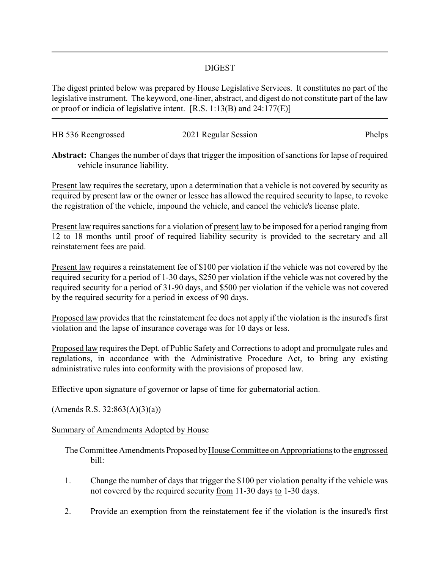## DIGEST

The digest printed below was prepared by House Legislative Services. It constitutes no part of the legislative instrument. The keyword, one-liner, abstract, and digest do not constitute part of the law or proof or indicia of legislative intent. [R.S. 1:13(B) and 24:177(E)]

| HB 536 Reengrossed | 2021 Regular Session | Phelps |
|--------------------|----------------------|--------|
|                    |                      |        |

**Abstract:** Changes the number of days that trigger the imposition of sanctions for lapse of required vehicle insurance liability.

Present law requires the secretary, upon a determination that a vehicle is not covered by security as required by present law or the owner or lessee has allowed the required security to lapse, to revoke the registration of the vehicle, impound the vehicle, and cancel the vehicle's license plate.

Present law requires sanctions for a violation of present law to be imposed for a period ranging from 12 to 18 months until proof of required liability security is provided to the secretary and all reinstatement fees are paid.

Present law requires a reinstatement fee of \$100 per violation if the vehicle was not covered by the required security for a period of 1-30 days, \$250 per violation if the vehicle was not covered by the required security for a period of 31-90 days, and \$500 per violation if the vehicle was not covered by the required security for a period in excess of 90 days.

Proposed law provides that the reinstatement fee does not apply if the violation is the insured's first violation and the lapse of insurance coverage was for 10 days or less.

Proposed law requires the Dept. of Public Safety and Corrections to adopt and promulgate rules and regulations, in accordance with the Administrative Procedure Act, to bring any existing administrative rules into conformity with the provisions of proposed law.

Effective upon signature of governor or lapse of time for gubernatorial action.

 $(A$ mends R.S. 32:863 $(A)(3)(a)$ 

## Summary of Amendments Adopted by House

The Committee Amendments Proposed by House Committee on Appropriations to the engrossed bill:

- 1. Change the number of days that trigger the \$100 per violation penalty if the vehicle was not covered by the required security from 11-30 days to 1-30 days.
- 2. Provide an exemption from the reinstatement fee if the violation is the insured's first